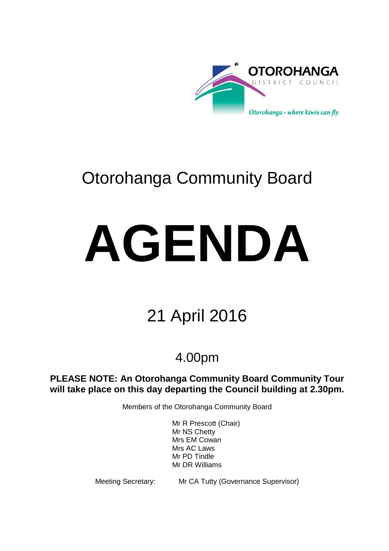

# Otorohanga Community Board

# **AGENDA**

# 21 April 2016

# 4.00pm

**PLEASE NOTE: An Otorohanga Community Board Community Tour will take place on this day departing the Council building at 2.30pm.**

Members of the Otorohanga Community Board

Mr R Prescott (Chair) Mr NS Chetty Mrs EM Cowan Mrs AC Laws Mr PD Tindle Mr DR Williams

Meeting Secretary: Mr CA Tutty (Governance Supervisor)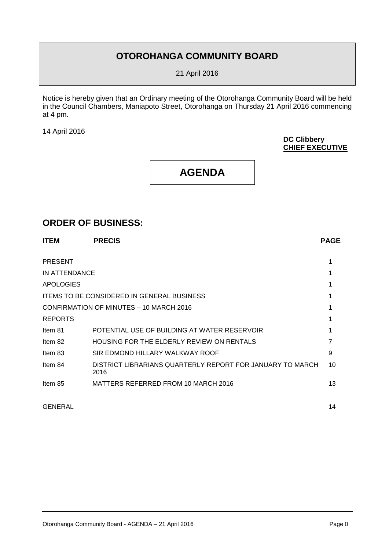# **OTOROHANGA COMMUNITY BOARD**

21 April 2016

Notice is hereby given that an Ordinary meeting of the Otorohanga Community Board will be held in the Council Chambers, Maniapoto Street, Otorohanga on Thursday 21 April 2016 commencing at 4 pm.

14 April 2016

#### **DC Clibbery CHIEF EXECUTIVE**

# **AGENDA**

# **ORDER OF BUSINESS:**

| <b>ITEM</b>      | <b>PRECIS</b>                                                     | <b>PAGE</b> |
|------------------|-------------------------------------------------------------------|-------------|
| <b>PRESENT</b>   |                                                                   |             |
| IN ATTENDANCE    |                                                                   |             |
| <b>APOLOGIES</b> |                                                                   |             |
|                  | <b>ITEMS TO BE CONSIDERED IN GENERAL BUSINESS</b>                 |             |
|                  | CONFIRMATION OF MINUTES - 10 MARCH 2016                           |             |
| <b>REPORTS</b>   |                                                                   |             |
| Item 81          | POTENTIAL USE OF BUILDING AT WATER RESERVOIR                      |             |
| Item 82          | HOUSING FOR THE ELDERLY REVIEW ON RENTALS                         |             |
| Item 83          | SIR EDMOND HILLARY WALKWAY ROOF                                   | 9           |
| Item 84          | DISTRICT LIBRARIANS QUARTERLY REPORT FOR JANUARY TO MARCH<br>2016 | 10          |
| Item 85          | MATTERS REFERRED FROM 10 MARCH 2016                               | 13          |

GENERAL 14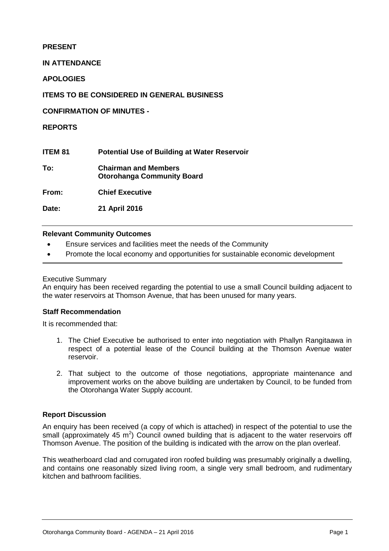# **PRESENT**

**IN ATTENDANCE**

**APOLOGIES**

**ITEMS TO BE CONSIDERED IN GENERAL BUSINESS**

**CONFIRMATION OF MINUTES -**

# **REPORTS**

**ITEM 81 Potential Use of Building at Water Reservoir To: Chairman and Members**

**Otorohanga Community Board**

**From: Chief Executive**

**Date: 21 April 2016**

# **Relevant Community Outcomes**

- Ensure services and facilities meet the needs of the Community
- Promote the local economy and opportunities for sustainable economic development

#### Executive Summary

An enquiry has been received regarding the potential to use a small Council building adjacent to the water reservoirs at Thomson Avenue, that has been unused for many years.

# **Staff Recommendation**

It is recommended that:

- 1. The Chief Executive be authorised to enter into negotiation with Phallyn Rangitaawa in respect of a potential lease of the Council building at the Thomson Avenue water reservoir.
- 2. That subject to the outcome of those negotiations, appropriate maintenance and improvement works on the above building are undertaken by Council, to be funded from the Otorohanga Water Supply account.

# **Report Discussion**

An enquiry has been received (a copy of which is attached) in respect of the potential to use the small (approximately 45  $m^2$ ) Council owned building that is adjacent to the water reservoirs off Thomson Avenue. The position of the building is indicated with the arrow on the plan overleaf.

This weatherboard clad and corrugated iron roofed building was presumably originally a dwelling, and contains one reasonably sized living room, a single very small bedroom, and rudimentary kitchen and bathroom facilities.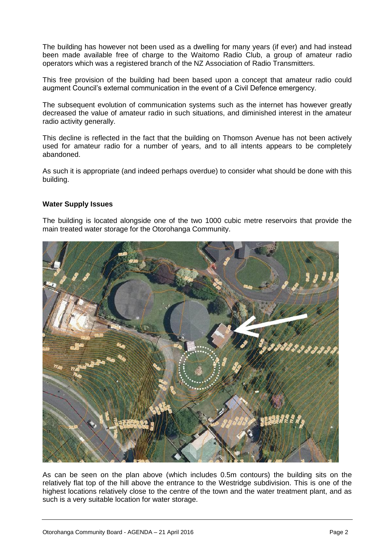The building has however not been used as a dwelling for many years (if ever) and had instead been made available free of charge to the Waitomo Radio Club, a group of amateur radio operators which was a registered branch of the NZ Association of Radio Transmitters.

This free provision of the building had been based upon a concept that amateur radio could augment Council's external communication in the event of a Civil Defence emergency.

The subsequent evolution of communication systems such as the internet has however greatly decreased the value of amateur radio in such situations, and diminished interest in the amateur radio activity generally.

This decline is reflected in the fact that the building on Thomson Avenue has not been actively used for amateur radio for a number of years, and to all intents appears to be completely abandoned.

As such it is appropriate (and indeed perhaps overdue) to consider what should be done with this building.

# **Water Supply Issues**

The building is located alongside one of the two 1000 cubic metre reservoirs that provide the main treated water storage for the Otorohanga Community.



As can be seen on the plan above (which includes 0.5m contours) the building sits on the relatively flat top of the hill above the entrance to the Westridge subdivision. This is one of the highest locations relatively close to the centre of the town and the water treatment plant, and as such is a very suitable location for water storage.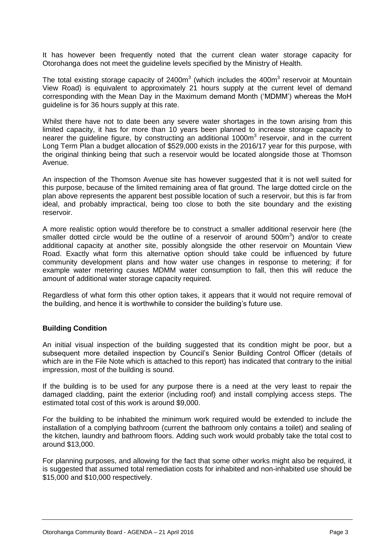It has however been frequently noted that the current clean water storage capacity for Otorohanga does not meet the guideline levels specified by the Ministry of Health.

The total existing storage capacity of 2400 $m<sup>3</sup>$  (which includes the 400 $m<sup>3</sup>$  reservoir at Mountain View Road) is equivalent to approximately 21 hours supply at the current level of demand corresponding with the Mean Day in the Maximum demand Month ('MDMM') whereas the MoH guideline is for 36 hours supply at this rate.

Whilst there have not to date been any severe water shortages in the town arising from this limited capacity, it has for more than 10 years been planned to increase storage capacity to nearer the guideline figure, by constructing an additional 1000m<sup>3</sup> reservoir, and in the current Long Term Plan a budget allocation of \$529,000 exists in the 2016/17 year for this purpose, with the original thinking being that such a reservoir would be located alongside those at Thomson Avenue.

An inspection of the Thomson Avenue site has however suggested that it is not well suited for this purpose, because of the limited remaining area of flat ground. The large dotted circle on the plan above represents the apparent best possible location of such a reservoir, but this is far from ideal, and probably impractical, being too close to both the site boundary and the existing reservoir.

A more realistic option would therefore be to construct a smaller additional reservoir here (the smaller dotted circle would be the outline of a reservoir of around  $500m^3$ ) and/or to create additional capacity at another site, possibly alongside the other reservoir on Mountain View Road. Exactly what form this alternative option should take could be influenced by future community development plans and how water use changes in response to metering; if for example water metering causes MDMM water consumption to fall, then this will reduce the amount of additional water storage capacity required.

Regardless of what form this other option takes, it appears that it would not require removal of the building, and hence it is worthwhile to consider the building's future use.

# **Building Condition**

An initial visual inspection of the building suggested that its condition might be poor, but a subsequent more detailed inspection by Council's Senior Building Control Officer (details of which are in the File Note which is attached to this report) has indicated that contrary to the initial impression, most of the building is sound.

If the building is to be used for any purpose there is a need at the very least to repair the damaged cladding, paint the exterior (including roof) and install complying access steps. The estimated total cost of this work is around \$9,000.

For the building to be inhabited the minimum work required would be extended to include the installation of a complying bathroom (current the bathroom only contains a toilet) and sealing of the kitchen, laundry and bathroom floors. Adding such work would probably take the total cost to around \$13,000.

For planning purposes, and allowing for the fact that some other works might also be required, it is suggested that assumed total remediation costs for inhabited and non-inhabited use should be \$15,000 and \$10,000 respectively.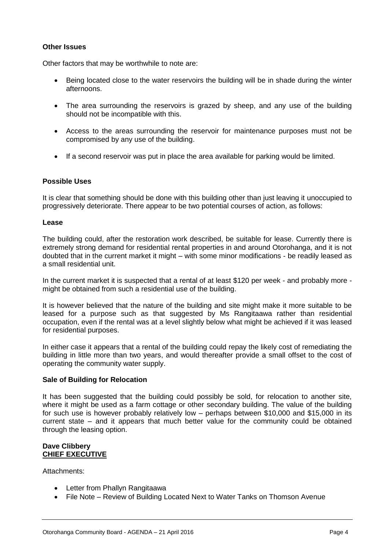# **Other Issues**

Other factors that may be worthwhile to note are:

- Being located close to the water reservoirs the building will be in shade during the winter afternoons.
- The area surrounding the reservoirs is grazed by sheep, and any use of the building should not be incompatible with this.
- Access to the areas surrounding the reservoir for maintenance purposes must not be compromised by any use of the building.
- If a second reservoir was put in place the area available for parking would be limited.

# **Possible Uses**

It is clear that something should be done with this building other than just leaving it unoccupied to progressively deteriorate. There appear to be two potential courses of action, as follows:

#### **Lease**

The building could, after the restoration work described, be suitable for lease. Currently there is extremely strong demand for residential rental properties in and around Otorohanga, and it is not doubted that in the current market it might – with some minor modifications - be readily leased as a small residential unit.

In the current market it is suspected that a rental of at least \$120 per week - and probably more might be obtained from such a residential use of the building.

It is however believed that the nature of the building and site might make it more suitable to be leased for a purpose such as that suggested by Ms Rangitaawa rather than residential occupation, even if the rental was at a level slightly below what might be achieved if it was leased for residential purposes.

In either case it appears that a rental of the building could repay the likely cost of remediating the building in little more than two years, and would thereafter provide a small offset to the cost of operating the community water supply.

# **Sale of Building for Relocation**

It has been suggested that the building could possibly be sold, for relocation to another site, where it might be used as a farm cottage or other secondary building. The value of the building for such use is however probably relatively low – perhaps between \$10,000 and \$15,000 in its current state – and it appears that much better value for the community could be obtained through the leasing option.

#### **Dave Clibbery CHIEF EXECUTIVE**

Attachments:

- Letter from Phallyn Rangitaawa
- File Note Review of Building Located Next to Water Tanks on Thomson Avenue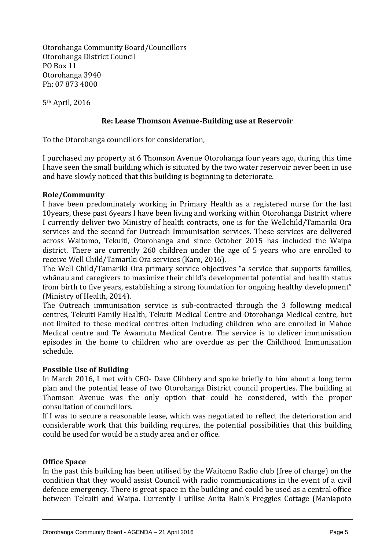Otorohanga Community Board/Councillors Otorohanga District Council PO Box 11 Otorohanga 3940 Ph: 07 873 4000

5th April, 2016

# **Re: Lease Thomson Avenue-Building use at Reservoir**

To the Otorohanga councillors for consideration,

I purchased my property at 6 Thomson Avenue Otorohanga four years ago, during this time I have seen the small building which is situated by the two water reservoir never been in use and have slowly noticed that this building is beginning to deteriorate.

# **Role/Community**

I have been predominately working in Primary Health as a registered nurse for the last 10years, these past 6years I have been living and working within Otorohanga District where I currently deliver two Ministry of health contracts, one is for the Wellchild/Tamariki Ora services and the second for Outreach Immunisation services. These services are delivered across Waitomo, Tekuiti, Otorohanga and since October 2015 has included the Waipa district. There are currently 260 children under the age of 5 years who are enrolled to receive Well Child/Tamariki Ora services (Karo, 2016).

The Well Child/Tamariki Ora primary service objectives "a service that supports families, whānau and caregivers to maximize their child's developmental potential and health status from birth to five years, establishing a strong foundation for ongoing healthy development" (Ministry of Health, 2014).

The Outreach immunisation service is sub-contracted through the 3 following medical centres, Tekuiti Family Health, Tekuiti Medical Centre and Otorohanga Medical centre, but not limited to these medical centres often including children who are enrolled in Mahoe Medical centre and Te Awamutu Medical Centre. The service is to deliver immunisation episodes in the home to children who are overdue as per the Childhood Immunisation schedule.

# **Possible Use of Building**

In March 2016, I met with CEO- Dave Clibbery and spoke briefly to him about a long term plan and the potential lease of two Otorohanga District council properties. The building at Thomson Avenue was the only option that could be considered, with the proper consultation of councillors.

If I was to secure a reasonable lease, which was negotiated to reflect the deterioration and considerable work that this building requires, the potential possibilities that this building could be used for would be a study area and or office.

# **Office Space**

In the past this building has been utilised by the Waitomo Radio club (free of charge) on the condition that they would assist Council with radio communications in the event of a civil defence emergency. There is great space in the building and could be used as a central office between Tekuiti and Waipa. Currently I utilise Anita Bain's Preggies Cottage (Maniapoto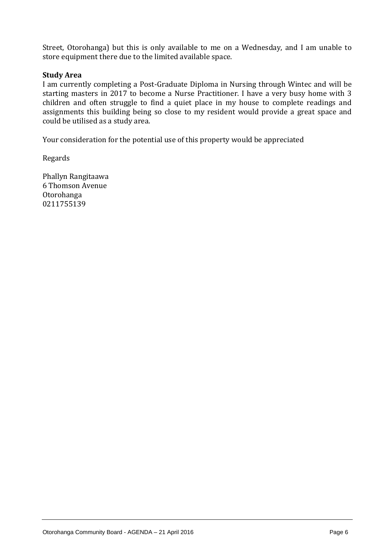Street, Otorohanga) but this is only available to me on a Wednesday, and I am unable to store equipment there due to the limited available space.

# **Study Area**

I am currently completing a Post-Graduate Diploma in Nursing through Wintec and will be starting masters in 2017 to become a Nurse Practitioner. I have a very busy home with 3 children and often struggle to find a quiet place in my house to complete readings and assignments this building being so close to my resident would provide a great space and could be utilised as a study area.

Your consideration for the potential use of this property would be appreciated

Regards

Phallyn Rangitaawa 6 Thomson Avenue Otorohanga 0211755139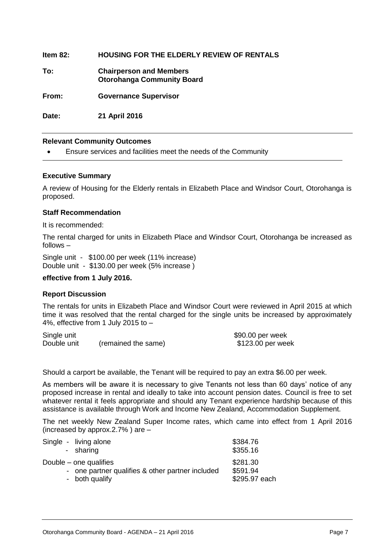**Item 82: HOUSING FOR THE ELDERLY REVIEW OF RENTALS To: Chairperson and Members Otorohanga Community Board From: Governance Supervisor Date: 21 April 2016**

#### **Relevant Community Outcomes**

Ensure services and facilities meet the needs of the Community

#### **Executive Summary**

A review of Housing for the Elderly rentals in Elizabeth Place and Windsor Court, Otorohanga is proposed.

#### **Staff Recommendation**

It is recommended:

The rental charged for units in Elizabeth Place and Windsor Court, Otorohanga be increased as follows –

Single unit - \$100.00 per week (11% increase) Double unit - \$130.00 per week (5% increase )

#### **effective from 1 July 2016.**

#### **Report Discussion**

The rentals for units in Elizabeth Place and Windsor Court were reviewed in April 2015 at which time it was resolved that the rental charged for the single units be increased by approximately 4%, effective from 1 July 2015 to –

Single unit<br>
Double unit (remained the same) 6123.00 per week<br>
S123.00 per wee (remained the same)  $$123.00$  per week

Should a carport be available, the Tenant will be required to pay an extra \$6.00 per week.

As members will be aware it is necessary to give Tenants not less than 60 days' notice of any proposed increase in rental and ideally to take into account pension dates. Council is free to set whatever rental it feels appropriate and should any Tenant experience hardship because of this assistance is available through Work and Income New Zealand, Accommodation Supplement.

The net weekly New Zealand Super Income rates, which came into effect from 1 April 2016 (increased by approx.2.7% ) are –

| Single - living alone                            | \$384.76      |
|--------------------------------------------------|---------------|
| - sharing                                        | \$355.16      |
| Double – one qualifies                           | \$281.30      |
| - one partner qualifies & other partner included | \$591.94      |
| - both qualify                                   | \$295.97 each |
|                                                  |               |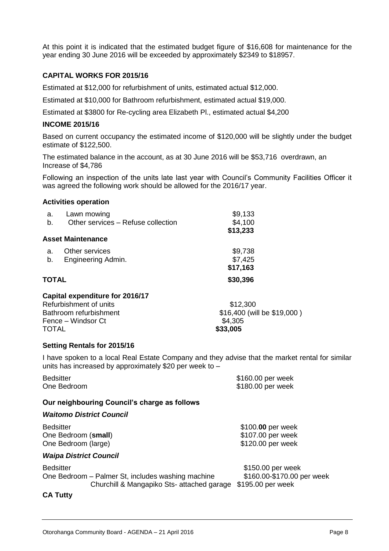At this point it is indicated that the estimated budget figure of \$16,608 for maintenance for the year ending 30 June 2016 will be exceeded by approximately \$2349 to \$18957.

# **CAPITAL WORKS FOR 2015/16**

Estimated at \$12,000 for refurbishment of units, estimated actual \$12,000.

Estimated at \$10,000 for Bathroom refurbishment, estimated actual \$19,000.

Estimated at \$3800 for Re-cycling area Elizabeth Pl., estimated actual \$4,200

#### **INCOME 2015/16**

Based on current occupancy the estimated income of \$120,000 will be slightly under the budget estimate of \$122,500.

The estimated balance in the account, as at 30 June 2016 will be \$53,716 overdrawn, an Increase of \$4,786

Following an inspection of the units late last year with Council's Community Facilities Officer it was agreed the following work should be allowed for the 2016/17 year.

#### **Activities operation**

| a.           | Lawn mowing                        | \$9,133                     |
|--------------|------------------------------------|-----------------------------|
| b.           | Other services - Refuse collection | \$4,100                     |
|              |                                    | \$13,233                    |
|              | <b>Asset Maintenance</b>           |                             |
| a.           | Other services                     | \$9,738                     |
| b.           | Engineering Admin.                 | \$7,425                     |
|              |                                    | \$17,163                    |
| <b>TOTAL</b> |                                    | \$30,396                    |
|              | Capital expenditure for 2016/17    |                             |
|              | Refurbishment of units             | \$12,300                    |
|              | Bathroom refurbishment             | \$16,400 (will be \$19,000) |
|              | Fence – Windsor Ct                 | \$4,305                     |
| TOTAL        |                                    | \$33,005                    |

#### **Setting Rentals for 2015/16**

I have spoken to a local Real Estate Company and they advise that the market rental for similar units has increased by approximately \$20 per week to –

| <b>Bedsitter</b><br>One Bedroom              | \$160.00 per week<br>\$180.00 per week |
|----------------------------------------------|----------------------------------------|
| Our neighbouring Council's charge as follows |                                        |
| <b>Waitomo District Council</b>              |                                        |
| <b>Bedsitter</b>                             | \$100.00 per week                      |
| One Bedroom (small)                          | \$107.00 per week                      |

One Bedroom (large) **\$120.00 per week** 

# *Waipa District Council*

| Bedsitter                                         |
|---------------------------------------------------|
| One Bedroom – Palmer St, includes washing machine |
| Churchill & Mangapiko Sts- attached garage        |

#### \$150.00 per week \$160.00-\$170.00 per week  $$195.00$  per week

# **CA Tutty**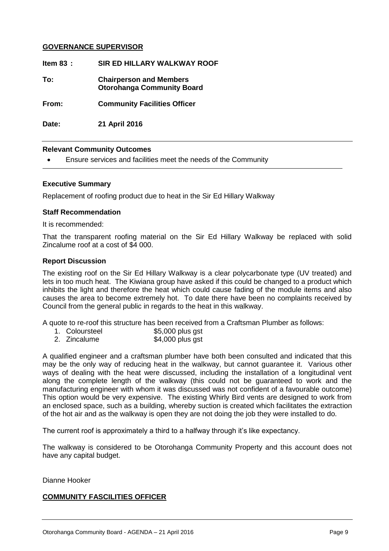# **GOVERNANCE SUPERVISOR**

**Item 83 : SIR ED HILLARY WALKWAY ROOF To: Chairperson and Members Otorohanga Community Board From: Community Facilities Officer Date: 21 April 2016**

#### **Relevant Community Outcomes**

Ensure services and facilities meet the needs of the Community

#### **Executive Summary**

Replacement of roofing product due to heat in the Sir Ed Hillary Walkway

#### **Staff Recommendation**

It is recommended:

That the transparent roofing material on the Sir Ed Hillary Walkway be replaced with solid Zincalume roof at a cost of \$4 000.

#### **Report Discussion**

The existing roof on the Sir Ed Hillary Walkway is a clear polycarbonate type (UV treated) and lets in too much heat. The Kiwiana group have asked if this could be changed to a product which inhibits the light and therefore the heat which could cause fading of the module items and also causes the area to become extremely hot. To date there have been no complaints received by Council from the general public in regards to the heat in this walkway.

A quote to re-roof this structure has been received from a Craftsman Plumber as follows:

- 1. Coloursteel  $$5,000$  plus gst
- 2. Zincalume \$4,000 plus gst

A qualified engineer and a craftsman plumber have both been consulted and indicated that this may be the only way of reducing heat in the walkway, but cannot guarantee it. Various other ways of dealing with the heat were discussed, including the installation of a longitudinal vent along the complete length of the walkway (this could not be guaranteed to work and the manufacturing engineer with whom it was discussed was not confident of a favourable outcome) This option would be very expensive. The existing Whirly Bird vents are designed to work from an enclosed space, such as a building, whereby suction is created which facilitates the extraction of the hot air and as the walkway is open they are not doing the job they were installed to do.

The current roof is approximately a third to a halfway through it's like expectancy.

The walkway is considered to be Otorohanga Community Property and this account does not have any capital budget.

#### Dianne Hooker

#### **COMMUNITY FASCILITIES OFFICER**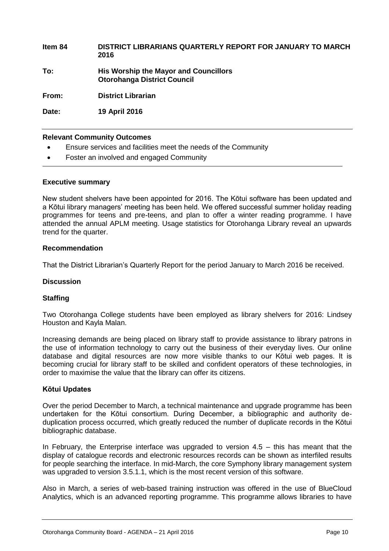# **Item 84 DISTRICT LIBRARIANS QUARTERLY REPORT FOR JANUARY TO MARCH 2016 To: His Worship the Mayor and Councillors Otorohanga District Council From: District Librarian**

**Date: 19 April 2016**

#### **Relevant Community Outcomes**

- Ensure services and facilities meet the needs of the Community
- Foster an involved and engaged Community

#### **Executive summary**

New student shelvers have been appointed for 2016. The Kōtui software has been updated and a Kōtui library managers' meeting has been held. We offered successful summer holiday reading programmes for teens and pre-teens, and plan to offer a winter reading programme. I have attended the annual APLM meeting. Usage statistics for Otorohanga Library reveal an upwards trend for the quarter.

#### **Recommendation**

That the District Librarian's Quarterly Report for the period January to March 2016 be received.

#### **Discussion**

# **Staffing**

Two Otorohanga College students have been employed as library shelvers for 2016: Lindsey Houston and Kayla Malan.

Increasing demands are being placed on library staff to provide assistance to library patrons in the use of information technology to carry out the business of their everyday lives. Our online database and digital resources are now more visible thanks to our Kōtui web pages. It is becoming crucial for library staff to be skilled and confident operators of these technologies, in order to maximise the value that the library can offer its citizens.

# **Kōtui Updates**

Over the period December to March, a technical maintenance and upgrade programme has been undertaken for the Kōtui consortium. During December, a bibliographic and authority deduplication process occurred, which greatly reduced the number of duplicate records in the Kōtui bibliographic database.

In February, the Enterprise interface was upgraded to version  $4.5 -$  this has meant that the display of catalogue records and electronic resources records can be shown as interfiled results for people searching the interface. In mid-March, the core Symphony library management system was upgraded to version 3.5.1.1, which is the most recent version of this software.

Also in March, a series of web-based training instruction was offered in the use of BlueCloud Analytics, which is an advanced reporting programme. This programme allows libraries to have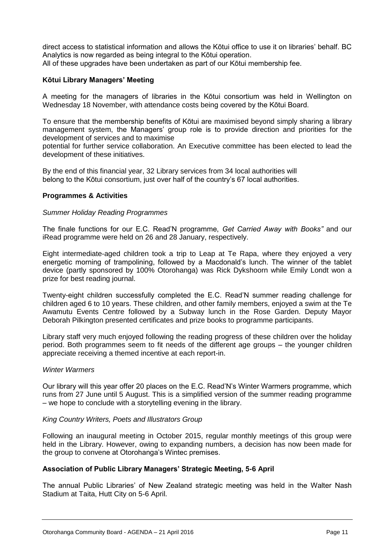direct access to statistical information and allows the Kōtui office to use it on libraries' behalf. BC Analytics is now regarded as being integral to the Kōtui operation. All of these upgrades have been undertaken as part of our Kōtui membership fee.

# **Kōtui Library Managers' Meeting**

A meeting for the managers of libraries in the Kōtui consortium was held in Wellington on Wednesday 18 November, with attendance costs being covered by the Kōtui Board.

To ensure that the membership benefits of Kōtui are maximised beyond simply sharing a library management system, the Managers' group role is to provide direction and priorities for the development of services and to maximise

potential for further service collaboration. An Executive committee has been elected to lead the development of these initiatives.

By the end of this financial year, 32 Library services from 34 local authorities will belong to the Kōtui consortium, just over half of the country's 67 local authorities.

# **Programmes & Activities**

#### *Summer Holiday Reading Programmes*

The finale functions for our E.C. Read'N programme, *Get Carried Away with Books"* and our iRead programme were held on 26 and 28 January, respectively.

Eight intermediate-aged children took a trip to Leap at Te Rapa, where they enjoyed a very energetic morning of trampolining, followed by a Macdonald's lunch. The winner of the tablet device (partly sponsored by 100% Otorohanga) was Rick Dykshoorn while Emily Londt won a prize for best reading journal.

Twenty-eight children successfully completed the E.C. Read'N summer reading challenge for children aged 6 to 10 years. These children, and other family members, enjoyed a swim at the Te Awamutu Events Centre followed by a Subway lunch in the Rose Garden. Deputy Mayor Deborah Pilkington presented certificates and prize books to programme participants.

Library staff very much enjoyed following the reading progress of these children over the holiday period. Both programmes seem to fit needs of the different age groups – the younger children appreciate receiving a themed incentive at each report-in.

#### *Winter Warmers*

Our library will this year offer 20 places on the E.C. Read'N's Winter Warmers programme, which runs from 27 June until 5 August. This is a simplified version of the summer reading programme – we hope to conclude with a storytelling evening in the library.

#### *King Country Writers, Poets and Illustrators Group*

Following an inaugural meeting in October 2015, regular monthly meetings of this group were held in the Library. However, owing to expanding numbers, a decision has now been made for the group to convene at Otorohanga's Wintec premises.

# **Association of Public Library Managers' Strategic Meeting, 5-6 April**

The annual Public Libraries' of New Zealand strategic meeting was held in the Walter Nash Stadium at Taita, Hutt City on 5-6 April.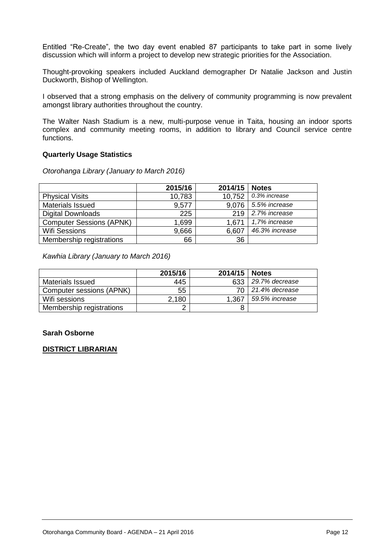Entitled "Re-Create", the two day event enabled 87 participants to take part in some lively discussion which will inform a project to develop new strategic priorities for the Association.

Thought-provoking speakers included Auckland demographer Dr Natalie Jackson and Justin Duckworth, Bishop of Wellington.

I observed that a strong emphasis on the delivery of community programming is now prevalent amongst library authorities throughout the country.

The Walter Nash Stadium is a new, multi-purpose venue in Taita, housing an indoor sports complex and community meeting rooms, in addition to library and Council service centre functions.

#### **Quarterly Usage Statistics**

*Otorohanga Library (January to March 2016)*

|                                 | 2015/16 | 2014/15 | <b>Notes</b>   |
|---------------------------------|---------|---------|----------------|
| <b>Physical Visits</b>          | 10,783  | 10,752  | 0.3% increase  |
| <b>Materials Issued</b>         | 9,577   | 9,076   | 5.5% increase  |
| <b>Digital Downloads</b>        | 225     | 219     | 2.7% increase  |
| <b>Computer Sessions (APNK)</b> | 1,699   | 1.671   | 1,7% increase  |
| <b>Wifi Sessions</b>            | 9,666   | 6,607   | 46.3% increase |
| Membership registrations        | 66      | 36      |                |

*Kawhia Library (January to March 2016)*

|                          | 2015/16 | 2014/15 | <b>Notes</b>   |
|--------------------------|---------|---------|----------------|
| <b>Materials Issued</b>  | 445     | 633     | 29.7% decrease |
| Computer sessions (APNK) | 55      |         | 21.4% decrease |
| Wifi sessions            | 2,180   | 1.367   | 59.5% increase |
| Membership registrations |         | 8       |                |

#### **Sarah Osborne**

# **DISTRICT LIBRARIAN**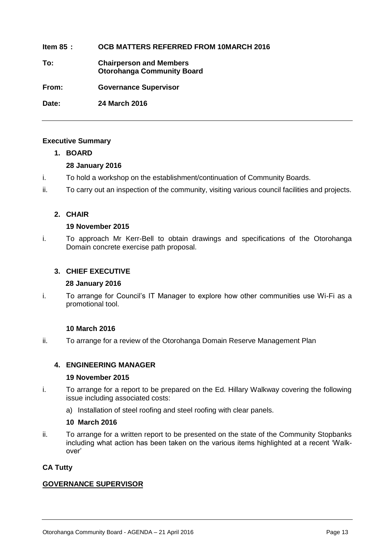# **Item 85 : OCB MATTERS REFERRED FROM 10MARCH 2016**

**To: Chairperson and Members Otorohanga Community Board**

**From: Governance Supervisor**

**Date: 24 March 2016**

# **Executive Summary**

# **1. BOARD**

# **28 January 2016**

- i. To hold a workshop on the establishment/continuation of Community Boards.
- ii. To carry out an inspection of the community, visiting various council facilities and projects.

# **2. CHAIR**

# **19 November 2015**

i. To approach Mr Kerr-Bell to obtain drawings and specifications of the Otorohanga Domain concrete exercise path proposal.

# **3. CHIEF EXECUTIVE**

# **28 January 2016**

i. To arrange for Council's IT Manager to explore how other communities use Wi-Fi as a promotional tool.

# **10 March 2016**

ii. To arrange for a review of the Otorohanga Domain Reserve Management Plan

# **4. ENGINEERING MANAGER**

# **19 November 2015**

- i. To arrange for a report to be prepared on the Ed. Hillary Walkway covering the following issue including associated costs:
	- a) Installation of steel roofing and steel roofing with clear panels.

# **10 March 2016**

ii. To arrange for a written report to be presented on the state of the Community Stopbanks including what action has been taken on the various items highlighted at a recent 'Walkover'

# **CA Tutty**

# **GOVERNANCE SUPERVISOR**